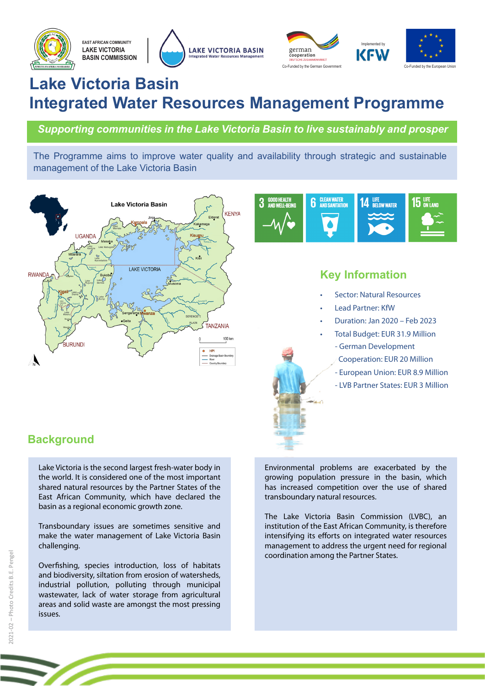





# **Lake Victoria Basin Integrated Water Resources Management Programme**

*Supporting communities in the Lake Victoria Basin to live sustainably and prosper*

The Programme aims to improve water quality and availability through strategic and sustainable management of the Lake Victoria Basin





# **Key Information**

- Sector: Natural Resources
- Lead Partner: KfW
- Duration: Jan 2020 Feb 2023
- Total Budget: EUR 31.9 Million
	- German Development
	- Cooperation: EUR 20 Million
	- European Union: EUR 8.9 Million
	- LVB Partner States: EUR 3 Million

# **Background**

Lake Victoria is the second largest fresh-water body in the world. It is considered one of the most important shared natural resources by the Partner States of the East African Community, which have declared the basin as a regional economic growth zone.

Transboundary issues are sometimes sensitive and make the water management of Lake Victoria Basin challenging.

Overfishing, species introduction, loss of habitats and biodiversity, siltation from erosion of watersheds, industrial pollution, polluting through municipal wastewater, lack of water storage from agricultural areas and solid waste are amongst the most pressing issues.

Environmental problems are exacerbated by the growing population pressure in the basin, which has increased competition over the use of shared transboundary natural resources.

The Lake Victoria Basin Commission (LVBC), an institution of the East African Community, is therefore intensifying its efforts on integrated water resources management to address the urgent need for regional coordination among the Partner States.